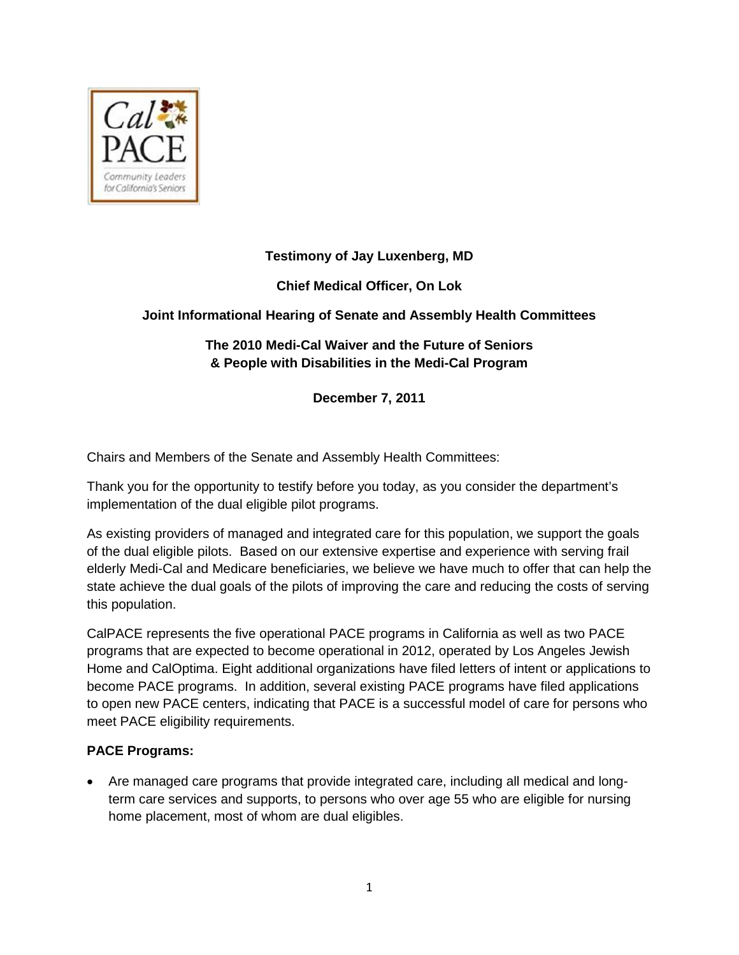

# **Testimony of Jay Luxenberg, MD**

**Chief Medical Officer, On Lok** 

# **Joint Informational Hearing of Senate and Assembly Health Committees**

# **The 2010 Medi-Cal Waiver and the Future of Seniors & People with Disabilities in the Medi-Cal Program**

**December 7, 2011**

Chairs and Members of the Senate and Assembly Health Committees:

Thank you for the opportunity to testify before you today, as you consider the department's implementation of the dual eligible pilot programs.

As existing providers of managed and integrated care for this population, we support the goals of the dual eligible pilots. Based on our extensive expertise and experience with serving frail elderly Medi-Cal and Medicare beneficiaries, we believe we have much to offer that can help the state achieve the dual goals of the pilots of improving the care and reducing the costs of serving this population.

CalPACE represents the five operational PACE programs in California as well as two PACE programs that are expected to become operational in 2012, operated by Los Angeles Jewish Home and CalOptima. Eight additional organizations have filed letters of intent or applications to become PACE programs. In addition, several existing PACE programs have filed applications to open new PACE centers, indicating that PACE is a successful model of care for persons who meet PACE eligibility requirements.

#### **PACE Programs:**

• Are managed care programs that provide integrated care, including all medical and longterm care services and supports, to persons who over age 55 who are eligible for nursing home placement, most of whom are dual eligibles.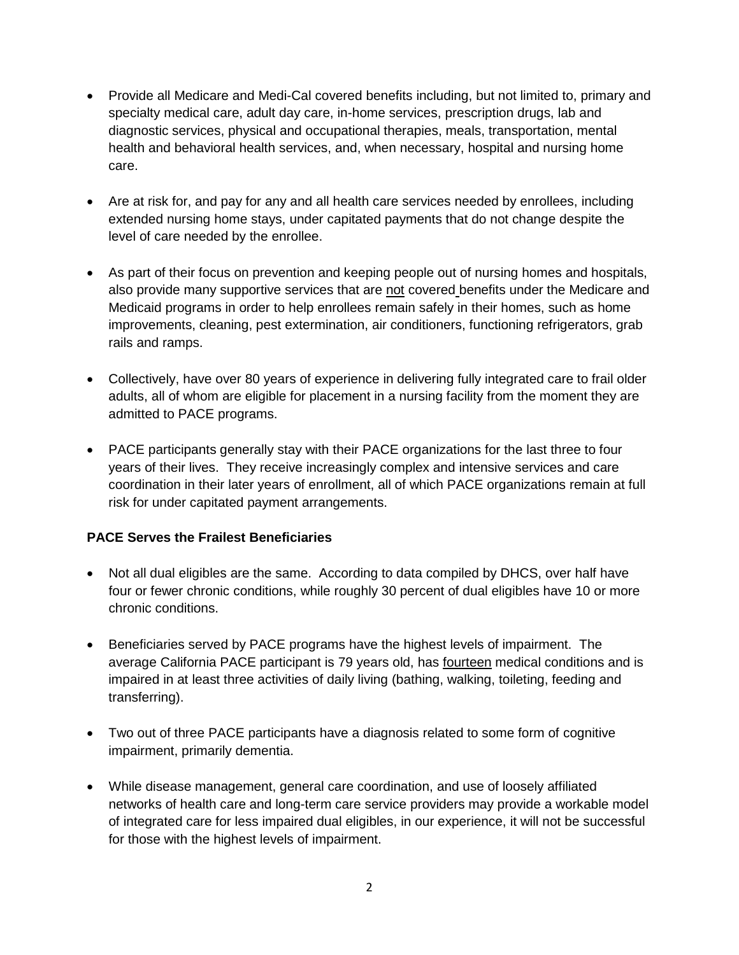- Provide all Medicare and Medi-Cal covered benefits including, but not limited to, primary and specialty medical care, adult day care, in-home services, prescription drugs, lab and diagnostic services, physical and occupational therapies, meals, transportation, mental health and behavioral health services, and, when necessary, hospital and nursing home care.
- Are at risk for, and pay for any and all health care services needed by enrollees, including extended nursing home stays, under capitated payments that do not change despite the level of care needed by the enrollee.
- As part of their focus on prevention and keeping people out of nursing homes and hospitals, also provide many supportive services that are not covered benefits under the Medicare and Medicaid programs in order to help enrollees remain safely in their homes, such as home improvements, cleaning, pest extermination, air conditioners, functioning refrigerators, grab rails and ramps.
- Collectively, have over 80 years of experience in delivering fully integrated care to frail older adults, all of whom are eligible for placement in a nursing facility from the moment they are admitted to PACE programs.
- PACE participants generally stay with their PACE organizations for the last three to four years of their lives. They receive increasingly complex and intensive services and care coordination in their later years of enrollment, all of which PACE organizations remain at full risk for under capitated payment arrangements.

# **PACE Serves the Frailest Beneficiaries**

- Not all dual eligibles are the same. According to data compiled by DHCS, over half have four or fewer chronic conditions, while roughly 30 percent of dual eligibles have 10 or more chronic conditions.
- Beneficiaries served by PACE programs have the highest levels of impairment. The average California PACE participant is 79 years old, has fourteen medical conditions and is impaired in at least three activities of daily living (bathing, walking, toileting, feeding and transferring).
- Two out of three PACE participants have a diagnosis related to some form of cognitive impairment, primarily dementia.
- While disease management, general care coordination, and use of loosely affiliated networks of health care and long-term care service providers may provide a workable model of integrated care for less impaired dual eligibles, in our experience, it will not be successful for those with the highest levels of impairment.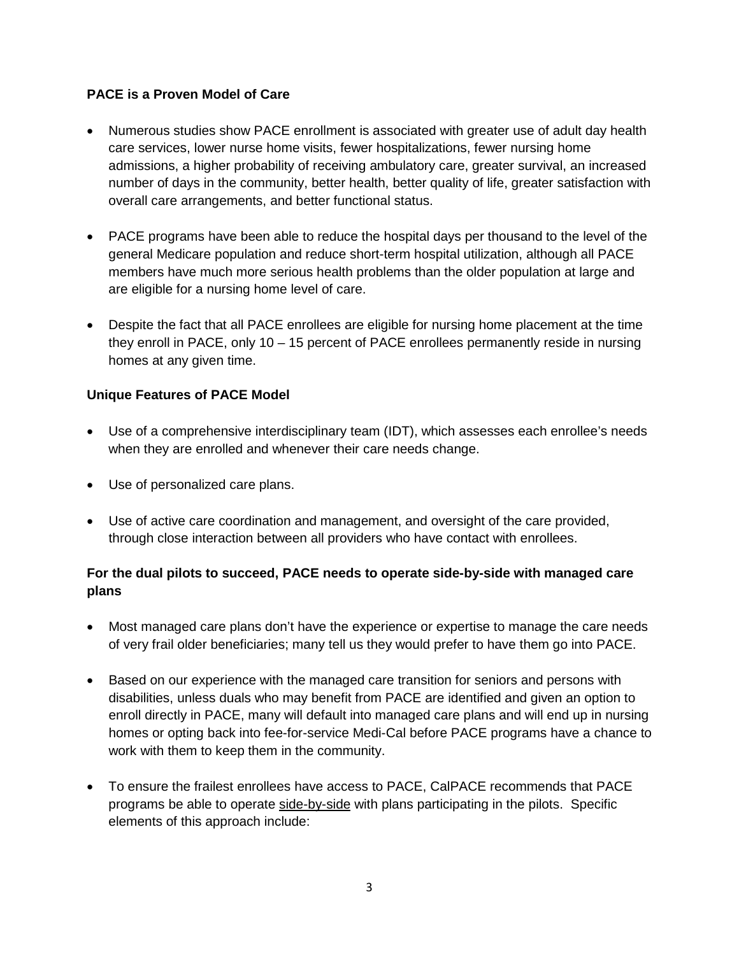#### **PACE is a Proven Model of Care**

- Numerous studies show PACE enrollment is associated with greater use of adult day health care services, lower nurse home visits, fewer hospitalizations, fewer nursing home admissions, a higher probability of receiving ambulatory care, greater survival, an increased number of days in the community, better health, better quality of life, greater satisfaction with overall care arrangements, and better functional status.
- PACE programs have been able to reduce the hospital days per thousand to the level of the general Medicare population and reduce short-term hospital utilization, although all PACE members have much more serious health problems than the older population at large and are eligible for a nursing home level of care.
- Despite the fact that all PACE enrollees are eligible for nursing home placement at the time they enroll in PACE, only 10 – 15 percent of PACE enrollees permanently reside in nursing homes at any given time.

#### **Unique Features of PACE Model**

- Use of a comprehensive interdisciplinary team (IDT), which assesses each enrollee's needs when they are enrolled and whenever their care needs change.
- Use of personalized care plans.
- Use of active care coordination and management, and oversight of the care provided, through close interaction between all providers who have contact with enrollees.

# **For the dual pilots to succeed, PACE needs to operate side-by-side with managed care plans**

- Most managed care plans don't have the experience or expertise to manage the care needs of very frail older beneficiaries; many tell us they would prefer to have them go into PACE.
- Based on our experience with the managed care transition for seniors and persons with disabilities, unless duals who may benefit from PACE are identified and given an option to enroll directly in PACE, many will default into managed care plans and will end up in nursing homes or opting back into fee-for-service Medi-Cal before PACE programs have a chance to work with them to keep them in the community.
- To ensure the frailest enrollees have access to PACE, CalPACE recommends that PACE programs be able to operate side-by-side with plans participating in the pilots. Specific elements of this approach include: